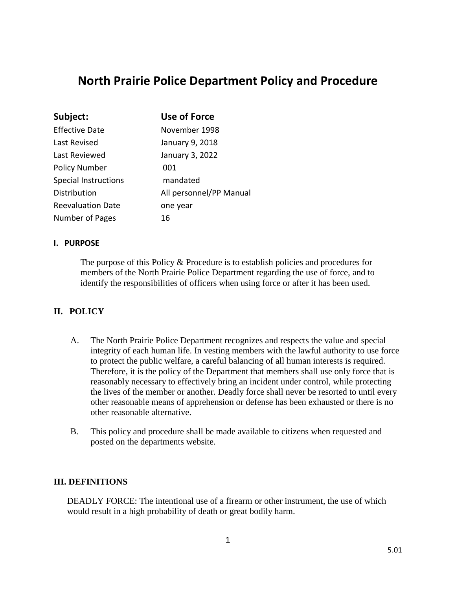# **North Prairie Police Department Policy and Procedure**

| Subject:                    | <b>Use of Force</b>     |
|-----------------------------|-------------------------|
| <b>Effective Date</b>       | November 1998           |
| Last Revised                | January 9, 2018         |
| Last Reviewed               | January 3, 2022         |
| <b>Policy Number</b>        | 001                     |
| <b>Special Instructions</b> | mandated                |
| Distribution                | All personnel/PP Manual |
| <b>Reevaluation Date</b>    | one year                |
| Number of Pages             | 16                      |

#### **I. PURPOSE**

The purpose of this Policy & Procedure is to establish policies and procedures for members of the North Prairie Police Department regarding the use of force, and to identify the responsibilities of officers when using force or after it has been used.

## **II. POLICY**

- A. The North Prairie Police Department recognizes and respects the value and special integrity of each human life. In vesting members with the lawful authority to use force to protect the public welfare, a careful balancing of all human interests is required. Therefore, it is the policy of the Department that members shall use only force that is reasonably necessary to effectively bring an incident under control, while protecting the lives of the member or another. Deadly force shall never be resorted to until every other reasonable means of apprehension or defense has been exhausted or there is no other reasonable alternative.
- B. This policy and procedure shall be made available to citizens when requested and posted on the departments website.

#### **III. DEFINITIONS**

DEADLY FORCE: The intentional use of a firearm or other instrument, the use of which would result in a high probability of death or great bodily harm.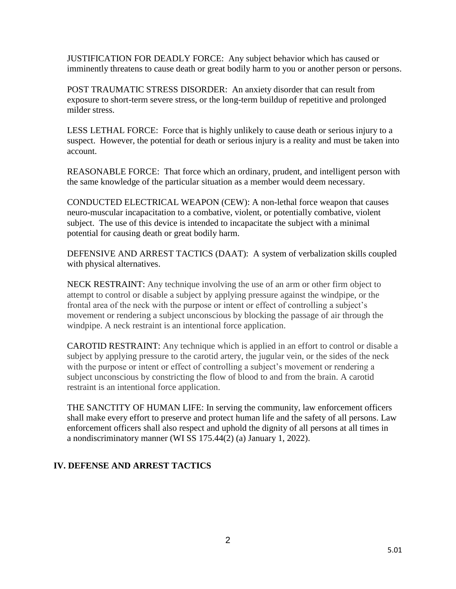JUSTIFICATION FOR DEADLY FORCE: Any subject behavior which has caused or imminently threatens to cause death or great bodily harm to you or another person or persons.

POST TRAUMATIC STRESS DISORDER: An anxiety disorder that can result from exposure to short-term severe stress, or the long-term buildup of repetitive and prolonged milder stress.

LESS LETHAL FORCE: Force that is highly unlikely to cause death or serious injury to a suspect. However, the potential for death or serious injury is a reality and must be taken into account.

REASONABLE FORCE: That force which an ordinary, prudent, and intelligent person with the same knowledge of the particular situation as a member would deem necessary.

CONDUCTED ELECTRICAL WEAPON (CEW): A non-lethal force weapon that causes neuro-muscular incapacitation to a combative, violent, or potentially combative, violent subject. The use of this device is intended to incapacitate the subject with a minimal potential for causing death or great bodily harm.

DEFENSIVE AND ARREST TACTICS (DAAT): A system of verbalization skills coupled with physical alternatives.

NECK RESTRAINT: Any technique involving the use of an arm or other firm object to attempt to control or disable a subject by applying pressure against the windpipe, or the frontal area of the neck with the purpose or intent or effect of controlling a subject's movement or rendering a subject unconscious by blocking the passage of air through the windpipe. A neck restraint is an intentional force application.

 CAROTID RESTRAINT: Any technique which is applied in an effort to control or disable a subject by applying pressure to the carotid artery, the jugular vein, or the sides of the neck with the purpose or intent or effect of controlling a subject's movement or rendering a subject unconscious by constricting the flow of blood to and from the brain. A carotid restraint is an intentional force application.

 THE SANCTITY OF HUMAN LIFE: In serving the community, law enforcement officers shall make every effort to preserve and protect human life and the safety of all persons. Law enforcement officers shall also respect and uphold the dignity of all persons at all times in a nondiscriminatory manner (WI SS 175.44(2) (a) January 1, 2022).

## **IV. DEFENSE AND ARREST TACTICS**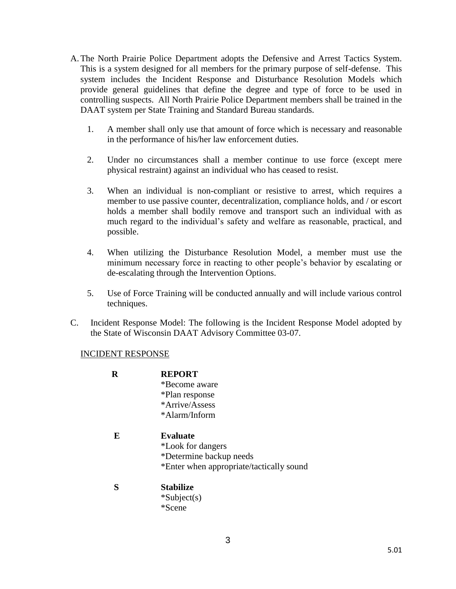- A.The North Prairie Police Department adopts the Defensive and Arrest Tactics System. This is a system designed for all members for the primary purpose of self-defense. This system includes the Incident Response and Disturbance Resolution Models which provide general guidelines that define the degree and type of force to be used in controlling suspects. All North Prairie Police Department members shall be trained in the DAAT system per State Training and Standard Bureau standards.
	- 1. A member shall only use that amount of force which is necessary and reasonable in the performance of his/her law enforcement duties.
	- 2. Under no circumstances shall a member continue to use force (except mere physical restraint) against an individual who has ceased to resist.
	- 3. When an individual is non-compliant or resistive to arrest, which requires a member to use passive counter, decentralization, compliance holds, and / or escort holds a member shall bodily remove and transport such an individual with as much regard to the individual's safety and welfare as reasonable, practical, and possible.
	- 4. When utilizing the Disturbance Resolution Model, a member must use the minimum necessary force in reacting to other people's behavior by escalating or de-escalating through the Intervention Options.
	- 5. Use of Force Training will be conducted annually and will include various control techniques.
- C. Incident Response Model: The following is the Incident Response Model adopted by the State of Wisconsin DAAT Advisory Committee 03-07.

#### INCIDENT RESPONSE

| R | <b>REPORT</b><br>*Become aware<br>*Plan response<br>*Arrive/Assess<br>*Alarm/Inform                         |
|---|-------------------------------------------------------------------------------------------------------------|
| E | <b>Evaluate</b><br>*Look for dangers<br>*Determine backup needs<br>*Enter when appropriate/tactically sound |
| S | <b>Stabilize</b><br>$*Subject(s)$<br>*Scene                                                                 |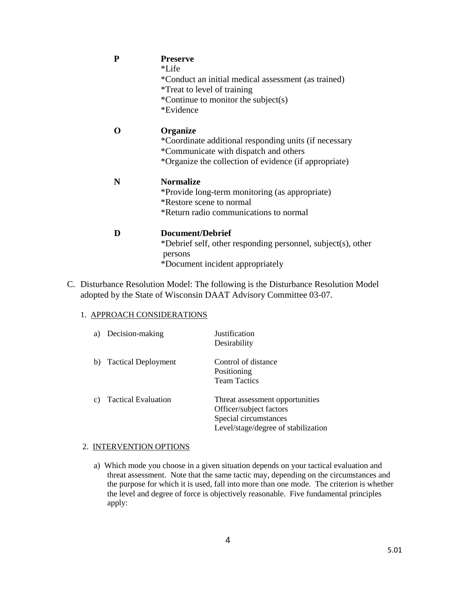| P | <b>Preserve</b>                                                         |
|---|-------------------------------------------------------------------------|
|   | *Life                                                                   |
|   | *Conduct an initial medical assessment (as trained)                     |
|   | <i>*Treat to level of training</i>                                      |
|   | *Continue to monitor the subject(s)                                     |
|   | *Evidence                                                               |
|   | <b>Organize</b>                                                         |
|   | *Coordinate additional responding units (if necessary                   |
|   | *Communicate with dispatch and others                                   |
|   | *Organize the collection of evidence (if appropriate)                   |
| N | <b>Normalize</b>                                                        |
|   | *Provide long-term monitoring (as appropriate)                          |
|   | *Restore scene to normal                                                |
|   | *Return radio communications to normal                                  |
|   | Document/Debrief                                                        |
|   | *Debrief self, other responding personnel, subject(s), other<br>persons |

- \*Document incident appropriately
- C. Disturbance Resolution Model: The following is the Disturbance Resolution Model adopted by the State of Wisconsin DAAT Advisory Committee 03-07.

#### 1. APPROACH CONSIDERATIONS

| a) | Decision-making            | Justification<br>Desirability                                                                                              |
|----|----------------------------|----------------------------------------------------------------------------------------------------------------------------|
| b) | <b>Tactical Deployment</b> | Control of distance<br>Positioning<br><b>Team Tactics</b>                                                                  |
| c) | <b>Tactical Evaluation</b> | Threat assessment opportunities<br>Officer/subject factors<br>Special circumstances<br>Level/stage/degree of stabilization |

#### 2. INTERVENTION OPTIONS

a) Which mode you choose in a given situation depends on your tactical evaluation and threat assessment. Note that the same tactic may, depending on the circumstances and the purpose for which it is used, fall into more than one mode. The criterion is whether the level and degree of force is objectively reasonable. Five fundamental principles apply: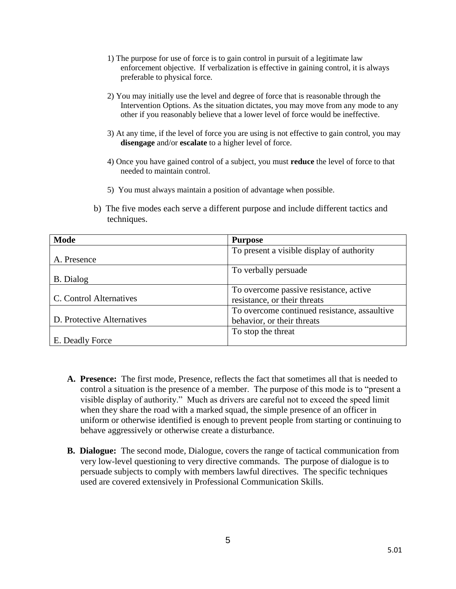- 1) The purpose for use of force is to gain control in pursuit of a legitimate law enforcement objective. If verbalization is effective in gaining control, it is always preferable to physical force.
- 2) You may initially use the level and degree of force that is reasonable through the Intervention Options. As the situation dictates, you may move from any mode to any other if you reasonably believe that a lower level of force would be ineffective.
- 3) At any time, if the level of force you are using is not effective to gain control, you may **disengage** and/or **escalate** to a higher level of force.
- 4) Once you have gained control of a subject, you must **reduce** the level of force to that needed to maintain control.
- 5) You must always maintain a position of advantage when possible.
- b) The five modes each serve a different purpose and include different tactics and techniques.

| <b>Mode</b>                | <b>Purpose</b>                               |
|----------------------------|----------------------------------------------|
|                            | To present a visible display of authority    |
| A. Presence                |                                              |
|                            | To verbally persuade                         |
| <b>B.</b> Dialog           |                                              |
|                            | To overcome passive resistance, active       |
| C. Control Alternatives    | resistance, or their threats                 |
|                            | To overcome continued resistance, assaultive |
| D. Protective Alternatives | behavior, or their threats                   |
|                            | To stop the threat                           |
| E. Deadly Force            |                                              |

- **A. Presence:** The first mode, Presence, reflects the fact that sometimes all that is needed to control a situation is the presence of a member. The purpose of this mode is to "present a visible display of authority." Much as drivers are careful not to exceed the speed limit when they share the road with a marked squad, the simple presence of an officer in uniform or otherwise identified is enough to prevent people from starting or continuing to behave aggressively or otherwise create a disturbance.
- **B. Dialogue:** The second mode, Dialogue, covers the range of tactical communication from very low-level questioning to very directive commands. The purpose of dialogue is to persuade subjects to comply with members lawful directives. The specific techniques used are covered extensively in Professional Communication Skills.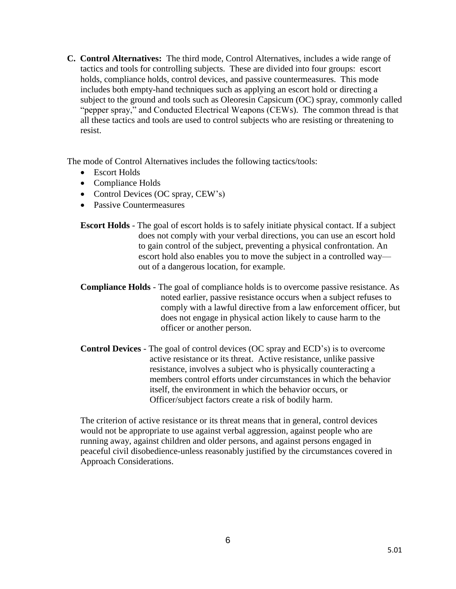**C. Control Alternatives:** The third mode, Control Alternatives, includes a wide range of tactics and tools for controlling subjects. These are divided into four groups: escort holds, compliance holds, control devices, and passive countermeasures. This mode includes both empty-hand techniques such as applying an escort hold or directing a subject to the ground and tools such as Oleoresin Capsicum (OC) spray, commonly called "pepper spray," and Conducted Electrical Weapons (CEWs). The common thread is that all these tactics and tools are used to control subjects who are resisting or threatening to resist.

The mode of Control Alternatives includes the following tactics/tools:

- Escort Holds
- Compliance Holds
- Control Devices (OC spray, CEW's)
- Passive Countermeasures
- **Escort Holds** The goal of escort holds is to safely initiate physical contact. If a subject does not comply with your verbal directions, you can use an escort hold to gain control of the subject, preventing a physical confrontation. An escort hold also enables you to move the subject in a controlled way out of a dangerous location, for example.
- **Compliance Holds**  The goal of compliance holds is to overcome passive resistance. As noted earlier, passive resistance occurs when a subject refuses to comply with a lawful directive from a law enforcement officer, but does not engage in physical action likely to cause harm to the officer or another person.
- **Control Devices** The goal of control devices (OC spray and ECD's) is to overcome active resistance or its threat. Active resistance, unlike passive resistance, involves a subject who is physically counteracting a members control efforts under circumstances in which the behavior itself, the environment in which the behavior occurs, or Officer/subject factors create a risk of bodily harm.

The criterion of active resistance or its threat means that in general, control devices would not be appropriate to use against verbal aggression, against people who are running away, against children and older persons, and against persons engaged in peaceful civil disobedience-unless reasonably justified by the circumstances covered in Approach Considerations.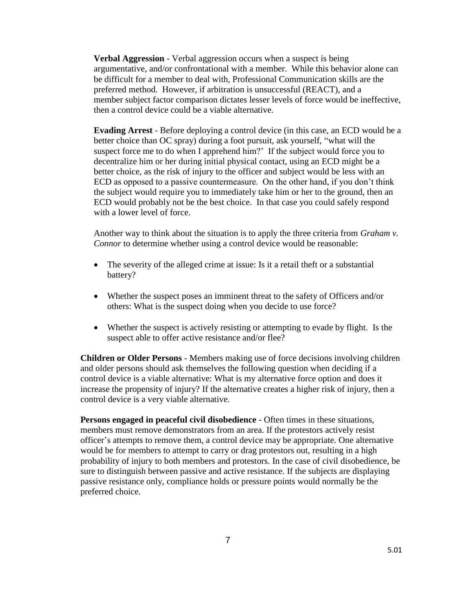**Verbal Aggression** - Verbal aggression occurs when a suspect is being argumentative, and/or confrontational with a member. While this behavior alone can be difficult for a member to deal with, Professional Communication skills are the preferred method. However, if arbitration is unsuccessful (REACT), and a member subject factor comparison dictates lesser levels of force would be ineffective, then a control device could be a viable alternative.

**Evading Arrest** - Before deploying a control device (in this case, an ECD would be a better choice than OC spray) during a foot pursuit, ask yourself, "what will the suspect force me to do when I apprehend him?' If the subject would force you to decentralize him or her during initial physical contact, using an ECD might be a better choice, as the risk of injury to the officer and subject would be less with an ECD as opposed to a passive countermeasure. On the other hand, if you don't think the subject would require you to immediately take him or her to the ground, then an ECD would probably not be the best choice. In that case you could safely respond with a lower level of force.

Another way to think about the situation is to apply the three criteria from *Graham v. Connor* to determine whether using a control device would be reasonable:

- The severity of the alleged crime at issue: Is it a retail theft or a substantial battery?
- Whether the suspect poses an imminent threat to the safety of Officers and/or others: What is the suspect doing when you decide to use force?
- Whether the suspect is actively resisting or attempting to evade by flight. Is the suspect able to offer active resistance and/or flee?

**Children or Older Persons** - Members making use of force decisions involving children and older persons should ask themselves the following question when deciding if a control device is a viable alternative: What is my alternative force option and does it increase the propensity of injury? If the alternative creates a higher risk of injury, then a control device is a very viable alternative.

**Persons engaged in peaceful civil disobedience** - Often times in these situations, members must remove demonstrators from an area. If the protestors actively resist officer's attempts to remove them, a control device may be appropriate. One alternative would be for members to attempt to carry or drag protestors out, resulting in a high probability of injury to both members and protestors. In the case of civil disobedience, be sure to distinguish between passive and active resistance. If the subjects are displaying passive resistance only, compliance holds or pressure points would normally be the preferred choice.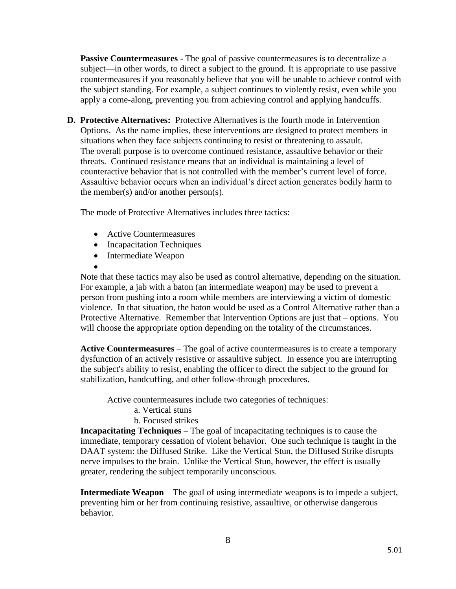**Passive Countermeasures** - The goal of passive countermeasures is to decentralize a subject—in other words, to direct a subject to the ground. It is appropriate to use passive countermeasures if you reasonably believe that you will be unable to achieve control with the subject standing. For example, a subject continues to violently resist, even while you apply a come-along, preventing you from achieving control and applying handcuffs.

**D. Protective Alternatives:** Protective Alternatives is the fourth mode in Intervention Options. As the name implies, these interventions are designed to protect members in situations when they face subjects continuing to resist or threatening to assault. The overall purpose is to overcome continued resistance, assaultive behavior or their threats. Continued resistance means that an individual is maintaining a level of counteractive behavior that is not controlled with the member's current level of force. Assaultive behavior occurs when an individual's direct action generates bodily harm to the member(s) and/or another person(s).

The mode of Protective Alternatives includes three tactics:

- Active Countermeasures
- Incapacitation Techniques
- Intermediate Weapon
- $\bullet$

Note that these tactics may also be used as control alternative, depending on the situation. For example, a jab with a baton (an intermediate weapon) may be used to prevent a person from pushing into a room while members are interviewing a victim of domestic violence. In that situation, the baton would be used as a Control Alternative rather than a Protective Alternative. Remember that Intervention Options are just that – options. You will choose the appropriate option depending on the totality of the circumstances.

**Active Countermeasures** – The goal of active countermeasures is to create a temporary dysfunction of an actively resistive or assaultive subject. In essence you are interrupting the subject's ability to resist, enabling the officer to direct the subject to the ground for stabilization, handcuffing, and other follow-through procedures.

Active countermeasures include two categories of techniques:

- a. Vertical stuns
- b. Focused strikes

**Incapacitating Techniques** – The goal of incapacitating techniques is to cause the immediate, temporary cessation of violent behavior. One such technique is taught in the DAAT system: the Diffused Strike. Like the Vertical Stun, the Diffused Strike disrupts nerve impulses to the brain. Unlike the Vertical Stun, however, the effect is usually greater, rendering the subject temporarily unconscious.

**Intermediate Weapon** – The goal of using intermediate weapons is to impede a subject, preventing him or her from continuing resistive, assaultive, or otherwise dangerous behavior.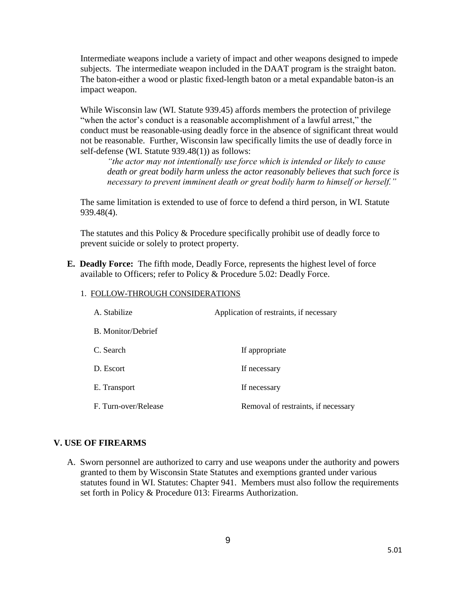Intermediate weapons include a variety of impact and other weapons designed to impede subjects. The intermediate weapon included in the DAAT program is the straight baton. The baton-either a wood or plastic fixed-length baton or a metal expandable baton-is an impact weapon.

While Wisconsin law (WI. Statute 939.45) affords members the protection of privilege "when the actor's conduct is a reasonable accomplishment of a lawful arrest," the conduct must be reasonable-using deadly force in the absence of significant threat would not be reasonable. Further, Wisconsin law specifically limits the use of deadly force in self-defense (WI. Statute 939.48(1)) as follows:

*"the actor may not intentionally use force which is intended or likely to cause death or great bodily harm unless the actor reasonably believes that such force is necessary to prevent imminent death or great bodily harm to himself or herself."*

The same limitation is extended to use of force to defend a third person, in WI. Statute 939.48(4).

The statutes and this Policy & Procedure specifically prohibit use of deadly force to prevent suicide or solely to protect property.

**E. Deadly Force:** The fifth mode, Deadly Force, represents the highest level of force available to Officers; refer to Policy & Procedure 5.02: Deadly Force.

| A. Stabilize         | Application of restraints, if necessary |
|----------------------|-----------------------------------------|
| B. Monitor/Debrief   |                                         |
| C. Search            | If appropriate                          |
| D. Escort            | If necessary                            |
| E. Transport         | If necessary                            |
| F. Turn-over/Release | Removal of restraints, if necessary     |

### 1. FOLLOW-THROUGH CONSIDERATIONS

#### **V. USE OF FIREARMS**

A. Sworn personnel are authorized to carry and use weapons under the authority and powers granted to them by Wisconsin State Statutes and exemptions granted under various statutes found in WI. Statutes: Chapter 941. Members must also follow the requirements set forth in Policy & Procedure 013: Firearms Authorization.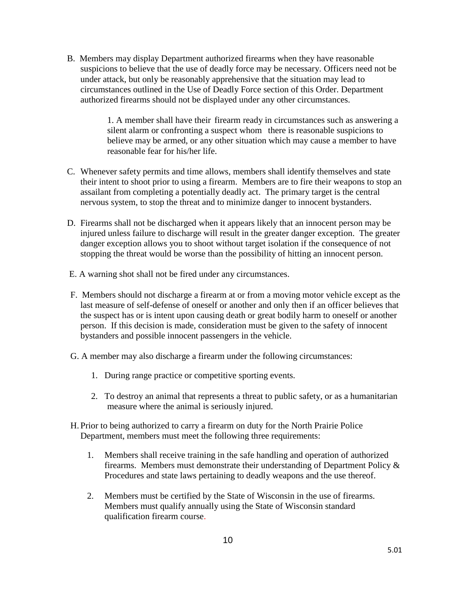B. Members may display Department authorized firearms when they have reasonable suspicions to believe that the use of deadly force may be necessary. Officers need not be under attack, but only be reasonably apprehensive that the situation may lead to circumstances outlined in the Use of Deadly Force section of this Order. Department authorized firearms should not be displayed under any other circumstances.

> 1. A member shall have their firearm ready in circumstances such as answering a silent alarm or confronting a suspect whom there is reasonable suspicions to believe may be armed, or any other situation which may cause a member to have reasonable fear for his/her life.

- C. Whenever safety permits and time allows, members shall identify themselves and state their intent to shoot prior to using a firearm. Members are to fire their weapons to stop an assailant from completing a potentially deadly act. The primary target is the central nervous system, to stop the threat and to minimize danger to innocent bystanders.
- D. Firearms shall not be discharged when it appears likely that an innocent person may be injured unless failure to discharge will result in the greater danger exception. The greater danger exception allows you to shoot without target isolation if the consequence of not stopping the threat would be worse than the possibility of hitting an innocent person.
- E. A warning shot shall not be fired under any circumstances.
- F. Members should not discharge a firearm at or from a moving motor vehicle except as the last measure of self-defense of oneself or another and only then if an officer believes that the suspect has or is intent upon causing death or great bodily harm to oneself or another person. If this decision is made, consideration must be given to the safety of innocent bystanders and possible innocent passengers in the vehicle.
- G. A member may also discharge a firearm under the following circumstances:
	- 1. During range practice or competitive sporting events.
	- 2. To destroy an animal that represents a threat to public safety, or as a humanitarian measure where the animal is seriously injured.
- H. Prior to being authorized to carry a firearm on duty for the North Prairie Police Department, members must meet the following three requirements:
	- 1. Members shall receive training in the safe handling and operation of authorized firearms. Members must demonstrate their understanding of Department Policy & Procedures and state laws pertaining to deadly weapons and the use thereof.
	- 2. Members must be certified by the State of Wisconsin in the use of firearms. Members must qualify annually using the State of Wisconsin standard qualification firearm course.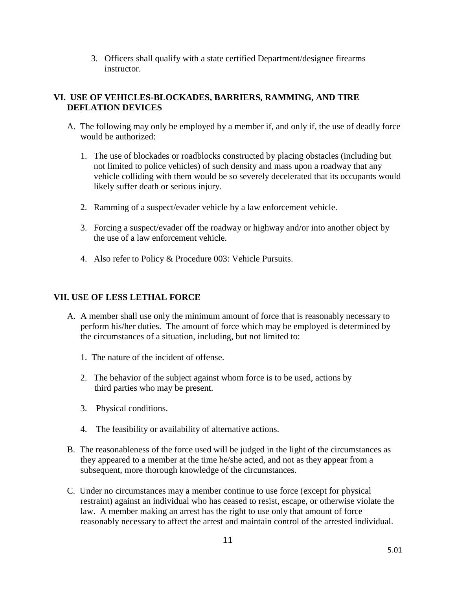3. Officers shall qualify with a state certified Department/designee firearms instructor.

## **VI. USE OF VEHICLES-BLOCKADES, BARRIERS, RAMMING, AND TIRE DEFLATION DEVICES**

- A. The following may only be employed by a member if, and only if, the use of deadly force would be authorized:
	- 1. The use of blockades or roadblocks constructed by placing obstacles (including but not limited to police vehicles) of such density and mass upon a roadway that any vehicle colliding with them would be so severely decelerated that its occupants would likely suffer death or serious injury.
	- 2. Ramming of a suspect/evader vehicle by a law enforcement vehicle.
	- 3. Forcing a suspect/evader off the roadway or highway and/or into another object by the use of a law enforcement vehicle.
	- 4. Also refer to Policy & Procedure 003: Vehicle Pursuits.

## **VII. USE OF LESS LETHAL FORCE**

- A. A member shall use only the minimum amount of force that is reasonably necessary to perform his/her duties. The amount of force which may be employed is determined by the circumstances of a situation, including, but not limited to:
	- 1. The nature of the incident of offense.
	- 2. The behavior of the subject against whom force is to be used, actions by third parties who may be present.
	- 3. Physical conditions.
	- 4. The feasibility or availability of alternative actions.
- B. The reasonableness of the force used will be judged in the light of the circumstances as they appeared to a member at the time he/she acted, and not as they appear from a subsequent, more thorough knowledge of the circumstances.
- C. Under no circumstances may a member continue to use force (except for physical restraint) against an individual who has ceased to resist, escape, or otherwise violate the law. A member making an arrest has the right to use only that amount of force reasonably necessary to affect the arrest and maintain control of the arrested individual.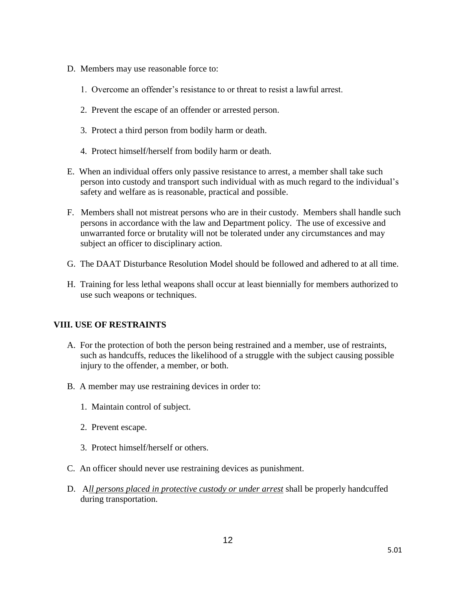- D. Members may use reasonable force to:
	- 1. Overcome an offender's resistance to or threat to resist a lawful arrest.
	- 2. Prevent the escape of an offender or arrested person.
	- 3. Protect a third person from bodily harm or death.
	- 4. Protect himself/herself from bodily harm or death.
- E. When an individual offers only passive resistance to arrest, a member shall take such person into custody and transport such individual with as much regard to the individual's safety and welfare as is reasonable, practical and possible.
- F. Members shall not mistreat persons who are in their custody. Members shall handle such persons in accordance with the law and Department policy. The use of excessive and unwarranted force or brutality will not be tolerated under any circumstances and may subject an officer to disciplinary action.
- G. The DAAT Disturbance Resolution Model should be followed and adhered to at all time.
- H. Training for less lethal weapons shall occur at least biennially for members authorized to use such weapons or techniques.

## **VIII. USE OF RESTRAINTS**

- A. For the protection of both the person being restrained and a member, use of restraints, such as handcuffs, reduces the likelihood of a struggle with the subject causing possible injury to the offender, a member, or both.
- B. A member may use restraining devices in order to:
	- 1. Maintain control of subject.
	- 2. Prevent escape.
	- 3. Protect himself/herself or others.
- C. An officer should never use restraining devices as punishment.
- D. A*ll persons placed in protective custody or under arrest* shall be properly handcuffed during transportation.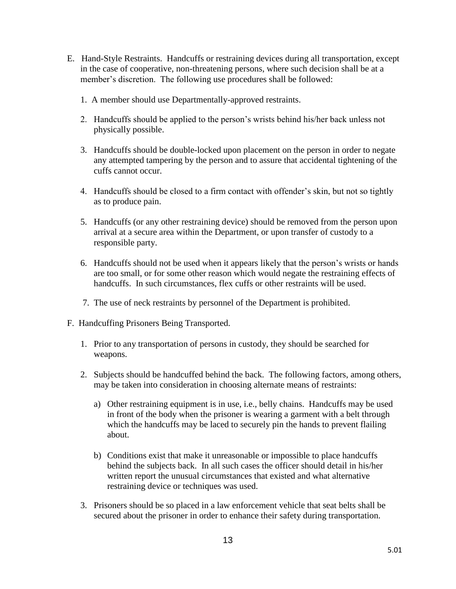- E. Hand-Style Restraints. Handcuffs or restraining devices during all transportation, except in the case of cooperative, non-threatening persons, where such decision shall be at a member's discretion. The following use procedures shall be followed:
	- 1. A member should use Departmentally-approved restraints.
	- 2. Handcuffs should be applied to the person's wrists behind his/her back unless not physically possible.
	- 3. Handcuffs should be double-locked upon placement on the person in order to negate any attempted tampering by the person and to assure that accidental tightening of the cuffs cannot occur.
	- 4. Handcuffs should be closed to a firm contact with offender's skin, but not so tightly as to produce pain.
	- 5. Handcuffs (or any other restraining device) should be removed from the person upon arrival at a secure area within the Department, or upon transfer of custody to a responsible party.
	- 6. Handcuffs should not be used when it appears likely that the person's wrists or hands are too small, or for some other reason which would negate the restraining effects of handcuffs. In such circumstances, flex cuffs or other restraints will be used.
	- 7. The use of neck restraints by personnel of the Department is prohibited.
- F. Handcuffing Prisoners Being Transported.
	- 1. Prior to any transportation of persons in custody, they should be searched for weapons.
	- 2. Subjects should be handcuffed behind the back. The following factors, among others, may be taken into consideration in choosing alternate means of restraints:
		- a) Other restraining equipment is in use, i.e., belly chains. Handcuffs may be used in front of the body when the prisoner is wearing a garment with a belt through which the handcuffs may be laced to securely pin the hands to prevent flailing about.
		- b) Conditions exist that make it unreasonable or impossible to place handcuffs behind the subjects back. In all such cases the officer should detail in his/her written report the unusual circumstances that existed and what alternative restraining device or techniques was used.
	- 3. Prisoners should be so placed in a law enforcement vehicle that seat belts shall be secured about the prisoner in order to enhance their safety during transportation.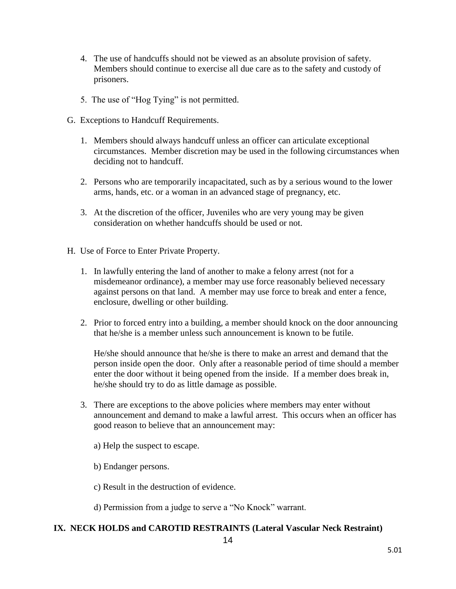- 4. The use of handcuffs should not be viewed as an absolute provision of safety. Members should continue to exercise all due care as to the safety and custody of prisoners.
- 5. The use of "Hog Tying" is not permitted.
- G. Exceptions to Handcuff Requirements.
	- 1. Members should always handcuff unless an officer can articulate exceptional circumstances. Member discretion may be used in the following circumstances when deciding not to handcuff.
	- 2. Persons who are temporarily incapacitated, such as by a serious wound to the lower arms, hands, etc. or a woman in an advanced stage of pregnancy, etc.
	- 3. At the discretion of the officer, Juveniles who are very young may be given consideration on whether handcuffs should be used or not.
- H. Use of Force to Enter Private Property.
	- 1. In lawfully entering the land of another to make a felony arrest (not for a misdemeanor ordinance), a member may use force reasonably believed necessary against persons on that land. A member may use force to break and enter a fence, enclosure, dwelling or other building.
	- 2. Prior to forced entry into a building, a member should knock on the door announcing that he/she is a member unless such announcement is known to be futile.

 He/she should announce that he/she is there to make an arrest and demand that the person inside open the door. Only after a reasonable period of time should a member enter the door without it being opened from the inside. If a member does break in, he/she should try to do as little damage as possible.

- 3. There are exceptions to the above policies where members may enter without announcement and demand to make a lawful arrest. This occurs when an officer has good reason to believe that an announcement may:
	- a) Help the suspect to escape.
	- b) Endanger persons.
	- c) Result in the destruction of evidence.

d) Permission from a judge to serve a "No Knock" warrant.

## **IX. NECK HOLDS and CAROTID RESTRAINTS (Lateral Vascular Neck Restraint)**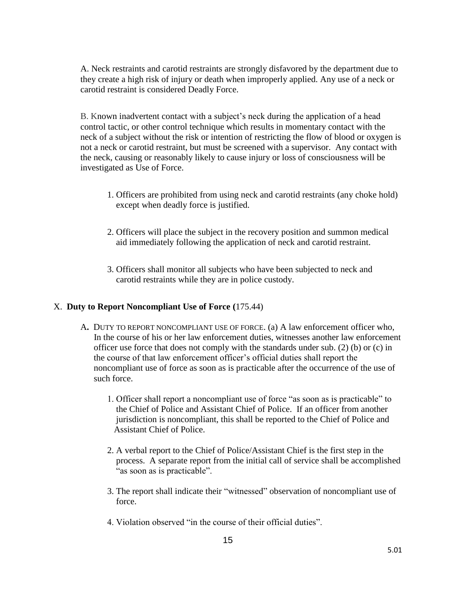A. Neck restraints and carotid restraints are strongly disfavored by the department due to they create a high risk of injury or death when improperly applied. Any use of a neck or carotid restraint is considered Deadly Force.

B. Known inadvertent contact with a subject's neck during the application of a head control tactic, or other control technique which results in momentary contact with the neck of a subject without the risk or intention of restricting the flow of blood or oxygen is not a neck or carotid restraint, but must be screened with a supervisor. Any contact with the neck, causing or reasonably likely to cause injury or loss of consciousness will be investigated as Use of Force.

- 1. Officers are prohibited from using neck and carotid restraints (any choke hold) except when deadly force is justified.
- 2. Officers will place the subject in the recovery position and summon medical aid immediately following the application of neck and carotid restraint.
- 3. Officers shall monitor all subjects who have been subjected to neck and carotid restraints while they are in police custody.

## X. **Duty to Report Noncompliant Use of Force (**175.44)

- A**.** DUTY TO REPORT NONCOMPLIANT USE OF FORCE. (a) A law enforcement officer who, In the course of his or her law enforcement duties, witnesses another law enforcement officer use force that does not comply with the standards under sub. (2) (b) or (c) in the course of that law enforcement officer's official duties shall report the noncompliant use of force as soon as is practicable after the occurrence of the use of such force.
	- 1. Officer shall report a noncompliant use of force "as soon as is practicable" to the Chief of Police and Assistant Chief of Police. If an officer from another jurisdiction is noncompliant, this shall be reported to the Chief of Police and Assistant Chief of Police.
	- 2. A verbal report to the Chief of Police/Assistant Chief is the first step in the process. A separate report from the initial call of service shall be accomplished "as soon as is practicable".
	- 3. The report shall indicate their "witnessed" observation of noncompliant use of force.
	- 4. Violation observed "in the course of their official duties".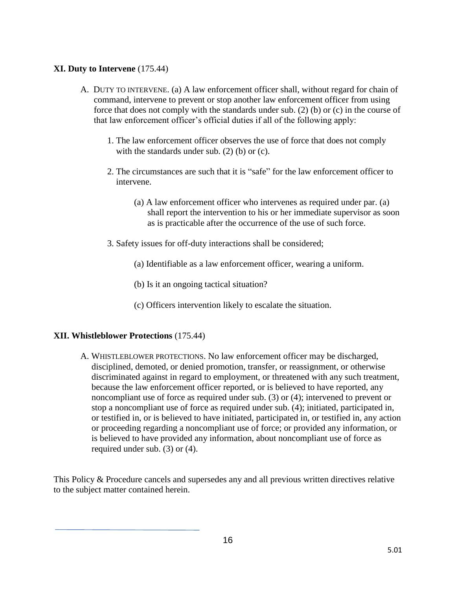## **XI. Duty to Intervene** (175.44)

- A. DUTY TO INTERVENE. (a) A law enforcement officer shall, without regard for chain of command, intervene to prevent or stop another law enforcement officer from using force that does not comply with the standards under sub. (2) (b) or (c) in the course of that law enforcement officer's official duties if all of the following apply:
	- 1. The law enforcement officer observes the use of force that does not comply with the standards under sub. (2) (b) or (c).
	- 2. The circumstances are such that it is "safe" for the law enforcement officer to intervene.
		- (a) A law enforcement officer who intervenes as required under par. (a) shall report the intervention to his or her immediate supervisor as soon as is practicable after the occurrence of the use of such force.
	- 3. Safety issues for off-duty interactions shall be considered;
		- (a) Identifiable as a law enforcement officer, wearing a uniform.
		- (b) Is it an ongoing tactical situation?
		- (c) Officers intervention likely to escalate the situation.

## **XII. Whistleblower Protections** (175.44)

A. WHISTLEBLOWER PROTECTIONS. No law enforcement officer may be discharged, disciplined, demoted, or denied promotion, transfer, or reassignment, or otherwise discriminated against in regard to employment, or threatened with any such treatment, because the law enforcement officer reported, or is believed to have reported, any noncompliant use of force as required under sub. (3) or (4); intervened to prevent or stop a noncompliant use of force as required under sub. (4); initiated, participated in, or testified in, or is believed to have initiated, participated in, or testified in, any action or proceeding regarding a noncompliant use of force; or provided any information, or is believed to have provided any information, about noncompliant use of force as required under sub. (3) or (4).

This Policy & Procedure cancels and supersedes any and all previous written directives relative to the subject matter contained herein.